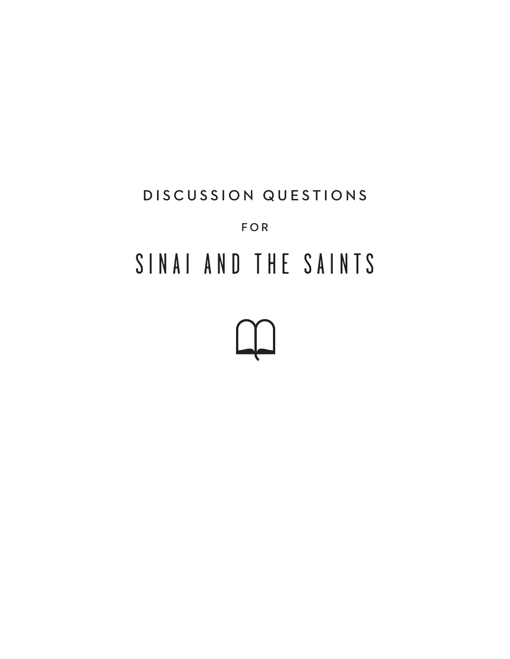# DISCUSSION QUESTIONS FOR SINAI AND THE SAINTS

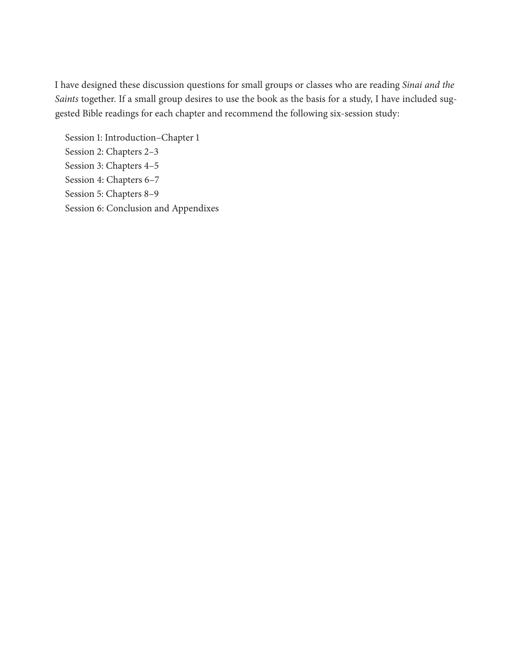I have designed these discussion questions for small groups or classes who are reading *Sinai and the Saints* together. If a small group desires to use the book as the basis for a study, I have included suggested Bible readings for each chapter and recommend the following six-session study:

Session 1: Introduction–Chapter 1 Session 2: Chapters 2–3 Session 3: Chapters 4–5 Session 4: Chapters 6–7 Session 5: Chapters 8–9 Session 6: Conclusion and Appendixes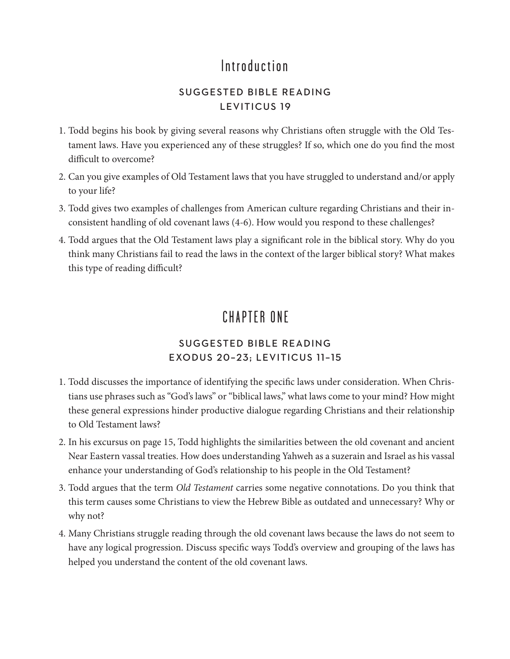## Introduction

#### SUGGESTED BIBLE READING LEVITICUS 19

- 1. Todd begins his book by giving several reasons why Christians often struggle with the Old Testament laws. Have you experienced any of these struggles? If so, which one do you find the most difficult to overcome?
- 2. Can you give examples of Old Testament laws that you have struggled to understand and/or apply to your life?
- 3. Todd gives two examples of challenges from American culture regarding Christians and their inconsistent handling of old covenant laws (4-6). How would you respond to these challenges?
- 4. Todd argues that the Old Testament laws play a significant role in the biblical story. Why do you think many Christians fail to read the laws in the context of the larger biblical story? What makes this type of reading difficult?

## CHAPTER ONE

#### SUGGESTED BIBLE READING EXODUS 20–23; LEVITICUS 11–15

- 1. Todd discusses the importance of identifying the specific laws under consideration. When Christians use phrases such as "God's laws" or "biblical laws," what laws come to your mind? How might these general expressions hinder productive dialogue regarding Christians and their relationship to Old Testament laws?
- 2. In his excursus on page 15, Todd highlights the similarities between the old covenant and ancient Near Eastern vassal treaties. How does understanding Yahweh as a suzerain and Israel as his vassal enhance your understanding of God's relationship to his people in the Old Testament?
- 3. Todd argues that the term *Old Testament* carries some negative connotations. Do you think that this term causes some Christians to view the Hebrew Bible as outdated and unnecessary? Why or why not?
- 4. Many Christians struggle reading through the old covenant laws because the laws do not seem to have any logical progression. Discuss specific ways Todd's overview and grouping of the laws has helped you understand the content of the old covenant laws.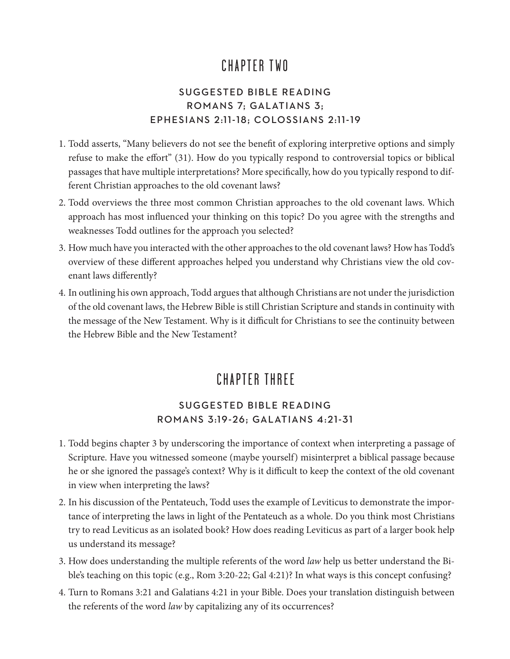## CHAPTER TWO

#### SUGGESTED BIBLE READING ROMANS 7; GALATIANS 3; EPHESIANS 2:11-18; COLOSSIANS 2:11-19

- 1. Todd asserts, "Many believers do not see the benefit of exploring interpretive options and simply refuse to make the effort" (31). How do you typically respond to controversial topics or biblical passages that have multiple interpretations? More specifically, how do you typically respond to different Christian approaches to the old covenant laws?
- 2. Todd overviews the three most common Christian approaches to the old covenant laws. Which approach has most influenced your thinking on this topic? Do you agree with the strengths and weaknesses Todd outlines for the approach you selected?
- 3. How much have you interacted with the other approaches to the old covenant laws? How has Todd's overview of these different approaches helped you understand why Christians view the old covenant laws differently?
- 4. In outlining his own approach, Todd argues that although Christians are not under the jurisdiction of the old covenant laws, the Hebrew Bible is still Christian Scripture and stands in continuity with the message of the New Testament. Why is it difficult for Christians to see the continuity between the Hebrew Bible and the New Testament?

# CHAPTER THREE

#### SUGGESTED BIBLE READING ROMANS 3:19-26; GALATIANS 4:21-31

- 1. Todd begins chapter 3 by underscoring the importance of context when interpreting a passage of Scripture. Have you witnessed someone (maybe yourself) misinterpret a biblical passage because he or she ignored the passage's context? Why is it difficult to keep the context of the old covenant in view when interpreting the laws?
- 2. In his discussion of the Pentateuch, Todd uses the example of Leviticus to demonstrate the importance of interpreting the laws in light of the Pentateuch as a whole. Do you think most Christians try to read Leviticus as an isolated book? How does reading Leviticus as part of a larger book help us understand its message?
- 3. How does understanding the multiple referents of the word *law* help us better understand the Bible's teaching on this topic (e.g., Rom 3:20-22; Gal 4:21)? In what ways is this concept confusing?
- 4. Turn to Romans 3:21 and Galatians 4:21 in your Bible. Does your translation distinguish between the referents of the word *law* by capitalizing any of its occurrences?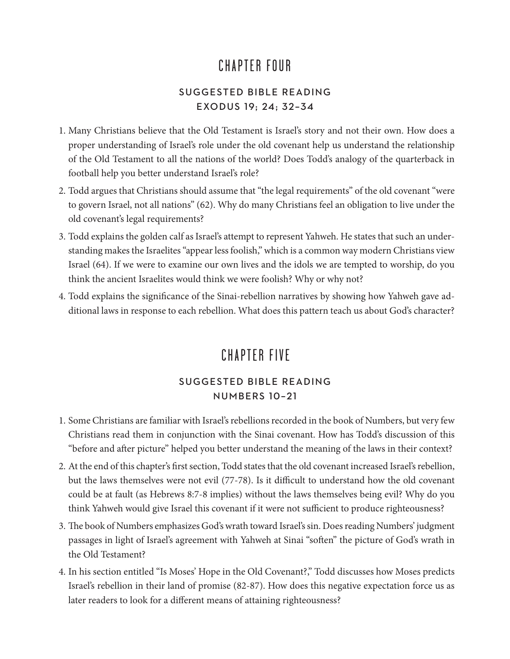## CHAPTER FOUR

#### SUGGESTED BIBLE READING EXODUS 19; 24; 32–34

- 1. Many Christians believe that the Old Testament is Israel's story and not their own. How does a proper understanding of Israel's role under the old covenant help us understand the relationship of the Old Testament to all the nations of the world? Does Todd's analogy of the quarterback in football help you better understand Israel's role?
- 2. Todd argues that Christians should assume that "the legal requirements" of the old covenant "were to govern Israel, not all nations" (62). Why do many Christians feel an obligation to live under the old covenant's legal requirements?
- 3. Todd explains the golden calf as Israel's attempt to represent Yahweh. He states that such an understanding makes the Israelites "appear less foolish," which is a common way modern Christians view Israel (64). If we were to examine our own lives and the idols we are tempted to worship, do you think the ancient Israelites would think we were foolish? Why or why not?
- 4. Todd explains the significance of the Sinai-rebellion narratives by showing how Yahweh gave additional laws in response to each rebellion. What does this pattern teach us about God's character?

## CHAPTER FIVE

#### SUGGESTED BIBLE READING NUMBERS 10–21

- 1. Some Christians are familiar with Israel's rebellions recorded in the book of Numbers, but very few Christians read them in conjunction with the Sinai covenant. How has Todd's discussion of this "before and after picture" helped you better understand the meaning of the laws in their context?
- 2. At the end of this chapter's first section, Todd states that the old covenant increased Israel's rebellion, but the laws themselves were not evil (77-78). Is it difficult to understand how the old covenant could be at fault (as Hebrews 8:7-8 implies) without the laws themselves being evil? Why do you think Yahweh would give Israel this covenant if it were not sufficient to produce righteousness?
- 3. The book of Numbers emphasizes God's wrath toward Israel's sin. Does reading Numbers' judgment passages in light of Israel's agreement with Yahweh at Sinai "soften" the picture of God's wrath in the Old Testament?
- 4. In his section entitled "Is Moses' Hope in the Old Covenant?," Todd discusses how Moses predicts Israel's rebellion in their land of promise (82-87). How does this negative expectation force us as later readers to look for a different means of attaining righteousness?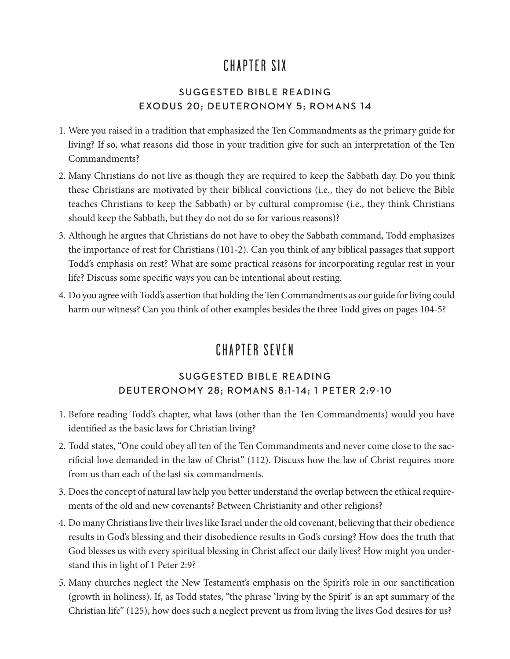## CHAPTER SIX

#### SUGGESTED BIBLE READING EXODUS 20; DEUTERONOMY 5; ROMANS 14

- 1. Were you raised in a tradition that emphasized the Ten Commandments as the primary guide for living? If so, what reasons did those in your tradition give for such an interpretation of the Ten Commandments?
- 2. Many Christians do not live as though they are required to keep the Sabbath day. Do you think these Christians are motivated by their biblical convictions (i.e., they do not believe the Bible teaches Christians to keep the Sabbath) or by cultural compromise (i.e., they think Christians should keep the Sabbath, but they do not do so for various reasons)?
- 3. Although he argues that Christians do not have to obey the Sabbath command, Todd emphasizes the importance of rest for Christians (101-2). Can you think of any biblical passages that support Todd's emphasis on rest? What are some practical reasons for incorporating regular rest in your life? Discuss some specific ways you can be intentional about resting.
- 4. Do you agree with Todd's assertion that holding the Ten Commandments as our guide for living could harm our witness? Can you think of other examples besides the three Todd gives on pages 104-5?

# CHAPTER SEVEN

#### SUGGESTED BIBLE READING DEUTERONOMY 28; ROMANS 8:1-14; 1 PETER 2:9-10

- 1. Before reading Todd's chapter, what laws (other than the Ten Commandments) would you have identified as the basic laws for Christian living?
- 2. Todd states, "One could obey all ten of the Ten Commandments and never come close to the sacrificial love demanded in the law of Christ" (112). Discuss how the law of Christ requires more from us than each of the last six commandments.
- 3. Does the concept of natural law help you better understand the overlap between the ethical requirements of the old and new covenants? Between Christianity and other religions?
- 4. Do many Christians live their lives like Israel under the old covenant, believing that their obedience results in God's blessing and their disobedience results in God's cursing? How does the truth that God blesses us with every spiritual blessing in Christ affect our daily lives? How might you understand this in light of 1 Peter 2:9?
- 5. Many churches neglect the New Testament's emphasis on the Spirit's role in our sanctification (growth in holiness). If, as Todd states, "the phrase 'living by the Spirit' is an apt summary of the Christian life" (125), how does such a neglect prevent us from living the lives God desires for us?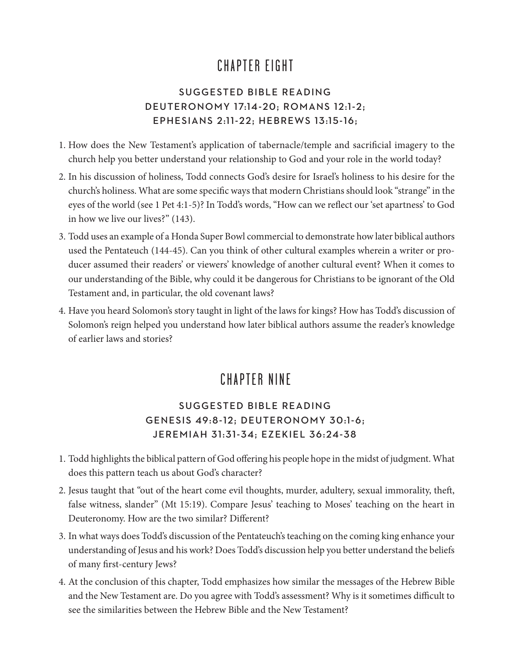## CHAPTER EIGHT

#### SUGGESTED BIBLE READING DEUTERONOMY 17:14-20; ROMANS 12:1-2; EPHESIANS 2:11-22; HEBREWS 13:15-16;

- 1. How does the New Testament's application of tabernacle/temple and sacrificial imagery to the church help you better understand your relationship to God and your role in the world today?
- 2. In his discussion of holiness, Todd connects God's desire for Israel's holiness to his desire for the church's holiness. What are some specific ways that modern Christians should look "strange" in the eyes of the world (see 1 Pet 4:1-5)? In Todd's words, "How can we reflect our 'set apartness' to God in how we live our lives?" (143).
- 3. Todd uses an example of a Honda Super Bowl commercial to demonstrate how later biblical authors used the Pentateuch (144-45). Can you think of other cultural examples wherein a writer or producer assumed their readers' or viewers' knowledge of another cultural event? When it comes to our understanding of the Bible, why could it be dangerous for Christians to be ignorant of the Old Testament and, in particular, the old covenant laws?
- 4. Have you heard Solomon's story taught in light of the laws for kings? How has Todd's discussion of Solomon's reign helped you understand how later biblical authors assume the reader's knowledge of earlier laws and stories?

## CHAPTER NINE

#### SUGGESTED BIBLE READING GENESIS 49:8-12; DEUTERONOMY 30:1-6; JEREMIAH 31:31-34; EZEKIEL 36:24-38

- 1. Todd highlights the biblical pattern of God offering his people hope in the midst of judgment. What does this pattern teach us about God's character?
- 2. Jesus taught that "out of the heart come evil thoughts, murder, adultery, sexual immorality, theft, false witness, slander" (Mt 15:19). Compare Jesus' teaching to Moses' teaching on the heart in Deuteronomy. How are the two similar? Different?
- 3. In what ways does Todd's discussion of the Pentateuch's teaching on the coming king enhance your understanding of Jesus and his work? Does Todd's discussion help you better understand the beliefs of many first-century Jews?
- 4. At the conclusion of this chapter, Todd emphasizes how similar the messages of the Hebrew Bible and the New Testament are. Do you agree with Todd's assessment? Why is it sometimes difficult to see the similarities between the Hebrew Bible and the New Testament?